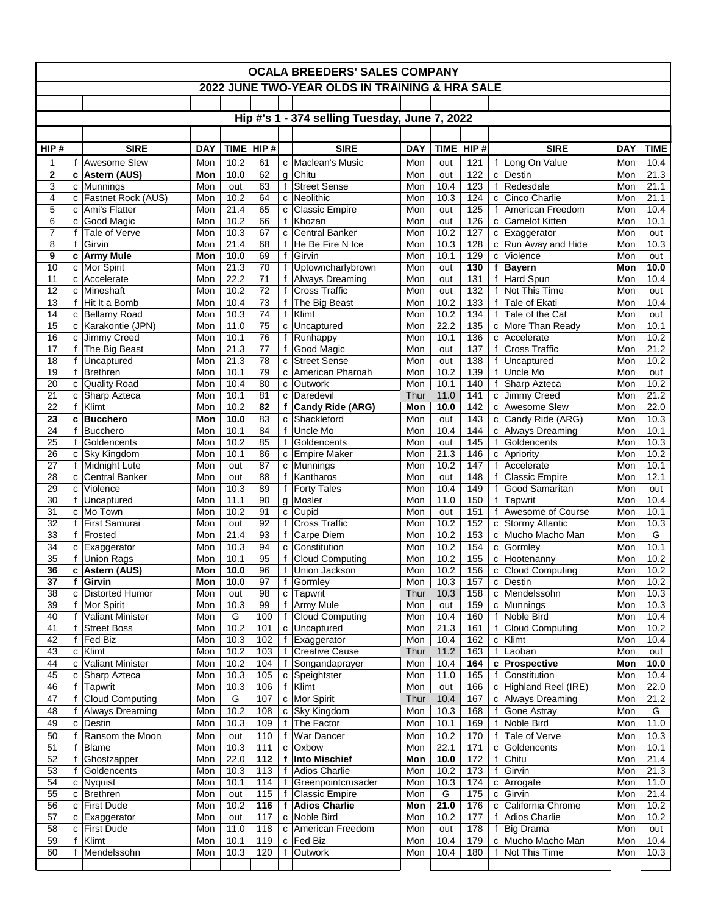| <b>OCALA BREEDERS' SALES COMPANY</b>           |                              |                                        |                   |                           |                 |                              |                                         |                   |                    |                 |              |                                         |                   |                     |
|------------------------------------------------|------------------------------|----------------------------------------|-------------------|---------------------------|-----------------|------------------------------|-----------------------------------------|-------------------|--------------------|-----------------|--------------|-----------------------------------------|-------------------|---------------------|
| 2022 JUNE TWO-YEAR OLDS IN TRAINING & HRA SALE |                              |                                        |                   |                           |                 |                              |                                         |                   |                    |                 |              |                                         |                   |                     |
|                                                |                              |                                        |                   |                           |                 |                              |                                         |                   |                    |                 |              |                                         |                   |                     |
| Hip #'s 1 - 374 selling Tuesday, June 7, 2022  |                              |                                        |                   |                           |                 |                              |                                         |                   |                    |                 |              |                                         |                   |                     |
|                                                |                              |                                        |                   |                           | HIP #           |                              |                                         |                   |                    |                 |              |                                         |                   |                     |
| HIP#<br>1                                      | $\mathbf{f}$                 | <b>SIRE</b><br>Awesome Slew            | <b>DAY</b><br>Mon | <b>TIME</b><br>10.2       | 61              | C                            | <b>SIRE</b><br>Maclean's Music          | <b>DAY</b><br>Mon | <b>TIME</b><br>out | HIP#<br>121     | f            | <b>SIRE</b><br>Long On Value            | <b>DAY</b><br>Mon | <b>TIME</b><br>10.4 |
| $\mathbf 2$                                    |                              | c   Astern (AUS)                       | Mon               | 10.0                      | 62              | g                            | Chitu                                   | Mon               | out                | 122             | c            | Destin                                  | Mon               | 21.3                |
| 3                                              |                              | c Munnings                             | Mon               | out                       | 63              | f                            | <b>Street Sense</b>                     | Mon               | 10.4               | 123             |              | f Redesdale                             | Mon               | 21.1                |
| $\overline{4}$                                 |                              | c   Fastnet Rock (AUS)                 | Mon               | 10.2                      | 64              | C                            | <b>Neolithic</b>                        | Mon               | 10.3               | 124             |              | c Cinco Charlie                         | Mon               | 21.1                |
| 5<br>6                                         | c<br>C                       | Ami's Flatter<br>Good Magic            | Mon<br>Mon        | 21.4<br>10.2              | 65<br>66        | C<br>$\mathbf{f}$            | <b>Classic Empire</b><br>Khozan         | Mon<br>Mon        | out<br>out         | 125<br>126      | $\mathbf{f}$ | American Freedom<br>c Camelot Kitten    | Mon<br>Mon        | 10.4<br>10.1        |
| 7                                              | $\mathbf{f}$                 | Tale of Verve                          | Mon               | 10.3                      | 67              | c                            | <b>Central Banker</b>                   | Mon               | 10.2               | 127             |              | c Exaggerator                           | Mon               | out                 |
| 8                                              | $\mathbf f$                  | Girvin                                 | Mon               | 21.4                      | 68              | f                            | He Be Fire N Ice                        | Mon               | 10.3               | 128             |              | c Run Away and Hide                     | Mon               | 10.3                |
| 9<br>10                                        |                              | c Army Mule<br>c   Mor Spirit          | Mon<br>Mon        | 10.0<br>21.3              | 69<br>70        | $\mathsf{f}$<br>$\mathsf{f}$ | Girvin<br>Uptowncharlybrown             | Mon<br>Mon        | 10.1<br>out        | 129<br>130      |              | c Violence<br>f Bayern                  | Mon<br>Mon        | out<br>10.0         |
| 11                                             |                              | c Accelerate                           | Mon               | 22.2                      | 71              | $\mathsf{f}$                 | Always Dreaming                         | Mon               | out                | 131             | $\mathbf{f}$ | Hard Spun                               | Mon               | 10.4                |
| 12                                             |                              | c Mineshaft                            | Mon               | 10.2                      | 72              | $\mathsf{f}$                 | Cross Traffic                           | Mon               | out                | 132             | f            | Not This Time                           | Mon               | out                 |
| 13                                             | $\mathbf{f}$                 | Hit It a Bomb                          | Mon               | 10.4                      | 73              | $\mathsf{f}$                 | The Big Beast                           | Mon               | 10.2               | 133             | $\mathsf{f}$ | Tale of Ekati                           | Mon               | 10.4                |
| 14<br>15                                       |                              | c Bellamy Road<br>c Karakontie (JPN)   | Mon<br>Mon        | 10.3<br>11.0              | 74<br>75        | f<br>$\mathbf{C}$            | Klimt<br>Uncaptured                     | Mon<br>Mon        | 10.2<br>22.2       | 134<br>135      |              | f Tale of the Cat<br>c More Than Ready  | Mon<br>Mon        | out<br>10.1         |
| 16                                             |                              | c Jimmy Creed                          | Mon               | 10.1                      | 76              | $\mathsf{f}$                 | Runhappy                                | Mon               | 10.1               | 136             |              | c Accelerate                            | Mon               | 10.2                |
| 17                                             | $\mathbf{f}$                 | The Big Beast                          | Mon               | 21.3                      | 77              | f                            | Good Magic                              | Mon               | out                | 137             | f            | <b>Cross Traffic</b>                    | Mon               | 21.2                |
| 18                                             | f                            | Uncaptured                             | Mon               | 21.3                      | 78              | $\mathbf{C}$                 | <b>Street Sense</b>                     | Mon               | out                | 138             | f            | Uncaptured                              | Mon               | 10.2                |
| 19<br>20                                       | f                            | Brethren                               | Mon<br>Mon        | 10.1<br>10.4              | 79<br>80        | c<br>C                       | American Pharoah<br>Outwork             | Mon<br>Mon        | 10.2<br>10.1       | 139<br>140      | f            | Uncle Mo<br>f Sharp Azteca              | Mon<br>Mon        | out<br>10.2         |
| 21                                             |                              | c Quality Road<br>c Sharp Azteca       | Mon               | 10.1                      | 81              | C                            | Daredevil                               | Thur              | 11.0               | 141             |              | c Jimmy Creed                           | Mon               | 21.2                |
| 22                                             | f                            | Klimt                                  | Mon               | 10.2                      | 82              | f                            | Candy Ride (ARG)                        | Mon               | 10.0               | $\frac{142}{2}$ |              | c Awesome Slew                          | Mon               | 22.0                |
| 23                                             |                              | c Bucchero                             | Mon               | 10.0                      | 83              | $\mathbf c$                  | Shackleford                             | Mon               | out                | 143             |              | c Candy Ride (ARG)                      | Mon               | 10.3                |
| 24                                             | f<br>f                       | <b>Bucchero</b>                        | Mon               | 10.1                      | 84              | $\mathbf{f}$                 | Uncle Mo                                | Mon               | 10.4               | 144             |              | c Always Dreaming                       | Mon               | 10.1                |
| 25<br>26                                       |                              | Goldencents<br>c Sky Kingdom           | Mon<br>Mon        | 10.2<br>10.1              | 85<br>86        | $\mathbf{f}$<br>c            | Goldencents<br><b>Empire Maker</b>      | Mon<br>Mon        | out<br>21.3        | 145<br>146      |              | f Goldencents<br>c Apriority            | Mon<br>Mon        | 10.3<br>10.2        |
| 27                                             | f                            | Midnight Lute                          | Mon               | out                       | 87              | C                            | Munnings                                | Mon               | 10.2               | 147             | f            | Accelerate                              | Mon               | 10.1                |
| 28                                             | C                            | Central Banker                         | Mon               | out                       | 88              | f                            | Kantharos                               | Mon               | out                | 148             | $\mathbf{f}$ | Classic Empire                          | Mon               | 12.1                |
| 29                                             | C                            | Violence                               | Mon               | 10.3                      | 89              | $\mathsf{f}$                 | <b>Forty Tales</b>                      | Mon               | 10.4               | 149             | f            | Good Samaritan                          | Mon               | out                 |
| 30<br>$\overline{31}$                          | $\mathbf f$                  | Uncaptured<br>c Mo Town                | Mon<br>Mon        | 11.1<br>10.2              | 90<br>91        | g<br>c                       | Mosler<br>Cupid                         | Mon<br>Mon        | 11.0<br>out        | 150<br>151      | f<br>f       | Tapwrit<br>Awesome of Course            | Mon<br>Mon        | 10.4<br>10.1        |
| 32                                             | $\mathbf{f}$                 | <b>First Samurai</b>                   | Mon               | out                       | 92              | $\mathsf{f}$                 | <b>Cross Traffic</b>                    | Mon               | 10.2               | 152             |              | c Stormy Atlantic                       | Mon               | 10.3                |
| 33                                             | $\mathbf{f}$                 | Frosted                                | Mon               | 21.4                      | 93              | f                            | Carpe Diem                              | Mon               | 10.2               | 153             |              | c Mucho Macho Man                       | Mon               | G                   |
| 34                                             |                              | c Exaggerator                          | Mon               | 10.3                      | 94              | c                            | Constitution                            | Mon               | 10.2               | 154             |              | c Gormley                               | Mon               | 10.1                |
| 35<br>36                                       | $\mathbf{f}$                 | Union Rags<br>c Astern (AUS)           | Mon<br>Mon        | 10.1<br>10.0              | 95<br>96        | $\mathsf{f}$<br>$\mathsf{f}$ | <b>Cloud Computing</b><br>Union Jackson | Mon<br>Mon        | 10.2<br>10.2       | 155<br>156      |              | c Hootenanny<br>c Cloud Computing       | Mon<br>Mon        | 10.2<br>10.2        |
| 37                                             |                              | † ∣Girvin                              | Mon               | 10.0                      | $\overline{97}$ |                              | f Gormley                               | Mon               | 10.3               | 157             |              | c Destin                                | Mon               | 10.2                |
| 38                                             | c                            | Distorted Humor                        | Mon               | out                       | 98              | $\mathtt{C}$                 | <b>Tapwrit</b>                          | Thur              | 10.3               | 158             |              | c Mendelssohn                           | Mon               | 10.3                |
| 39                                             | $\mathsf{f}$                 | Mor Spirit                             | Mon               | 10.3                      | 99              | $\mathbf{f}$                 | Army Mule                               | Mon               | out                | 159             |              | c Munnings                              | Mon               | 10.3                |
| 40<br>41                                       | $\mathbf{f}$<br>$\mathsf{f}$ | Valiant Minister<br><b>Street Boss</b> | Mon<br>Mon        | G<br>10.2                 | 100<br>101      | $\mathbf{f}$<br>$\mathbf{C}$ | <b>Cloud Computing</b><br>Uncaptured    | Mon<br>Mon        | 10.4<br>21.3       | 160<br>161      | f            | f Noble Bird<br><b>Cloud Computing</b>  | Mon<br>Mon        | 10.4<br>10.2        |
| 42                                             | $\mathbf{f}$                 | Fed Biz                                | Mon               | 10.3                      | 102             | f                            | Exaggerator                             | Mon               | 10.4               | 162             |              | $c$ Klimt                               | Mon               | 10.4                |
| 43                                             |                              | c Klimt                                | Mon               | 10.2                      | 103             | f                            | <b>Creative Cause</b>                   | Thur              | 11.2               | 163             |              | f Laoban                                | Mon               | out                 |
| 44                                             | c                            | <b>Valiant Minister</b>                | Mon               | 10.2                      | 104             | f                            | Songandaprayer                          | Mon               | 10.4               | 164             |              | c Prospective                           | Mon               | 10.0                |
| 45<br>46                                       | f                            | c Sharp Azteca<br>Tapwrit              | Mon<br>Mon        | $10.\overline{3}$<br>10.3 | 105<br>106      | c<br>f                       | Speightster<br>Klimt                    | Mon<br>Mon        | 11.0<br>out        | 165<br>166      |              | f Constitution<br>c Highland Reel (IRE) | Mon<br>Mon        | 10.4<br>22.0        |
| 47                                             | f                            | Cloud Computing                        | Mon               | G                         | 107             | $\mathtt{C}$                 | Mor Spirit                              | Thur              | 10.4               | 167             |              | c Always Dreaming                       | Mon               | 21.2                |
| 48                                             | f                            | Always Dreaming                        | Mon               | 10.2                      | 108             | $\mathbf{C}$                 | Sky Kingdom                             | Mon               | 10.3               | 168             | f            | Gone Astray                             | Mon               | G                   |
| 49                                             | C                            | Destin                                 | Mon               | 10.3                      | 109             | f                            | The Factor                              | Mon               | 10.1               | 169             | f            | Noble Bird                              | Mon               | 11.0                |
| 50                                             | $\mathsf{f}$                 | Ransom the Moon                        | Mon               | out                       | 110             | $\mathbf{f}$                 | War Dancer                              | Mon               | 10.2               | 170             |              | f Tale of Verve                         | Mon               | 10.3                |
| 51<br>52                                       | f<br>$\mathsf{f}$            | Blame                                  | Mon<br>Mon        | 10.3<br>22.0              | 111<br>112      | c<br>f                       | Oxbow<br><b>Into Mischief</b>           | Mon<br>Mon        | 22.1<br>10.0       | 171<br>172      | $\mathtt{C}$ | Goldencents<br>f Chitu                  | Mon<br>Mon        | 10.1<br>21.4        |
| 53                                             | f                            | Ghostzapper<br>Goldencents             | Mon               | 10.3                      | 113             | f                            | Adios Charlie                           | Mon               | 10.2               | 173             | f            | Girvin                                  | Mon               | 21.3                |
| 54                                             |                              | c Nyquist                              | Mon               | 10.1                      | 114             | $\mathbf{f}$                 | Greenpointcrusader                      | Mon               | 10.3               | 174             |              | c Arrogate                              | Mon               | 11.0                |
| 55                                             |                              | c Brethren                             | Mon               | out                       | 115             | $\mathbf{f}$                 | Classic Empire                          | Mon               | G                  | 175             | $\mathtt{C}$ | Girvin                                  | Mon               | 21.4                |
| 56<br>57                                       |                              | c First Dude<br>c Exaggerator          | Mon<br>Mon        | 10.2                      | 116<br>117      | f<br>$\mathbf{C}$            | <b>Adios Charlie</b><br>Noble Bird      | Mon<br>Mon        | 21.0<br>10.2       | 176<br>177      |              | c California Chrome<br>f Adios Charlie  | Mon<br>Mon        | 10.2<br>10.2        |
| 58                                             | c                            | <b>First Dude</b>                      | Mon               | out<br>11.0               | 118             | $\mathbf{C}$                 | American Freedom                        | Mon               | out                | 178             | f            | Big Drama                               | Mon               | out                 |
| 59                                             | f                            | Klimt                                  | Mon               | 10.1                      | 119             | c                            | Fed Biz                                 | Mon               | 10.4               | 179             |              | c Mucho Macho Man                       | Mon               | $\overline{10.4}$   |
| 60                                             |                              | Mendelssohn                            | Mon               | 10.3                      | 120             | $\mathsf{f}$                 | Outwork                                 | Mon               | 10.4               | 180             | $\mathbf{f}$ | Not This Time                           | Mon               | 10.3                |
|                                                |                              |                                        |                   |                           |                 |                              |                                         |                   |                    |                 |              |                                         |                   |                     |